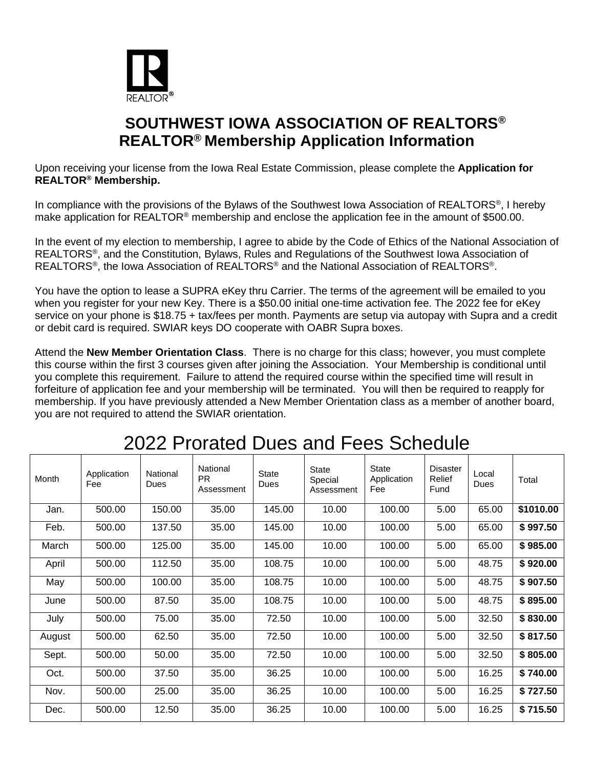

### **SOUTHWEST IOWA ASSOCIATION OF REALTORS® REALTOR® Membership Application Information**

Upon receiving your license from the Iowa Real Estate Commission, please complete the **Application for REALTOR® Membership.** 

In compliance with the provisions of the Bylaws of the Southwest lowa Association of REALTORS<sup>®</sup>, I hereby make application for REALTOR<sup>®</sup> membership and enclose the application fee in the amount of \$500.00.

In the event of my election to membership, I agree to abide by the Code of Ethics of the National Association of REALTORS<sup>®</sup>, and the Constitution, Bylaws, Rules and Regulations of the Southwest Iowa Association of REALTORS<sup>®</sup>, the Iowa Association of REALTORS® and the National Association of REALTORS®.

You have the option to lease a SUPRA eKey thru Carrier. The terms of the agreement will be emailed to you when you register for your new Key. There is a \$50.00 initial one-time activation fee. The 2022 fee for eKey service on your phone is \$18.75 + tax/fees per month. Payments are setup via autopay with Supra and a credit or debit card is required. SWIAR keys DO cooperate with OABR Supra boxes.

Attend the **New Member Orientation Class**. There is no charge for this class; however, you must complete this course within the first 3 courses given after joining the Association. Your Membership is conditional until you complete this requirement. Failure to attend the required course within the specified time will result in forfeiture of application fee and your membership will be terminated. You will then be required to reapply for membership. If you have previously attended a New Member Orientation class as a member of another board, you are not required to attend the SWIAR orientation.

| Month  | Application<br>Fee | National<br>Dues | National<br><b>PR</b><br>Assessment | <b>State</b><br>Dues | <b>State</b><br>Special<br>Assessment | <b>State</b><br>Application<br>Fee | <b>Disaster</b><br>Relief<br>Fund | Local<br>Dues | Total     |
|--------|--------------------|------------------|-------------------------------------|----------------------|---------------------------------------|------------------------------------|-----------------------------------|---------------|-----------|
| Jan.   | 500.00             | 150.00           | 35.00                               | 145.00               | 10.00                                 | 100.00                             | 5.00                              | 65.00         | \$1010.00 |
| Feb.   | 500.00             | 137.50           | 35.00                               | 145.00               | 10.00                                 | 100.00                             | 5.00                              | 65.00         | \$997.50  |
| March  | 500.00             | 125.00           | 35.00                               | 145.00               | 10.00                                 | 100.00                             | 5.00                              | 65.00         | \$985.00  |
| April  | 500.00             | 112.50           | 35.00                               | 108.75               | 10.00                                 | 100.00                             | 5.00                              | 48.75         | \$920.00  |
| May    | 500.00             | 100.00           | 35.00                               | 108.75               | 10.00                                 | 100.00                             | 5.00                              | 48.75         | \$907.50  |
| June   | 500.00             | 87.50            | 35.00                               | 108.75               | 10.00                                 | 100.00                             | 5.00                              | 48.75         | \$895.00  |
| July   | 500.00             | 75.00            | 35.00                               | 72.50                | 10.00                                 | 100.00                             | 5.00                              | 32.50         | \$830.00  |
| August | 500.00             | 62.50            | 35.00                               | 72.50                | 10.00                                 | 100.00                             | 5.00                              | 32.50         | \$817.50  |
| Sept.  | 500.00             | 50.00            | 35.00                               | 72.50                | 10.00                                 | 100.00                             | 5.00                              | 32.50         | \$805.00  |
| Oct.   | 500.00             | 37.50            | 35.00                               | 36.25                | 10.00                                 | 100.00                             | 5.00                              | 16.25         | \$740.00  |
| Nov.   | 500.00             | 25.00            | 35.00                               | 36.25                | 10.00                                 | 100.00                             | 5.00                              | 16.25         | \$727.50  |
| Dec.   | 500.00             | 12.50            | 35.00                               | 36.25                | 10.00                                 | 100.00                             | 5.00                              | 16.25         | \$715.50  |

# 2022 Prorated Dues and Fees Schedule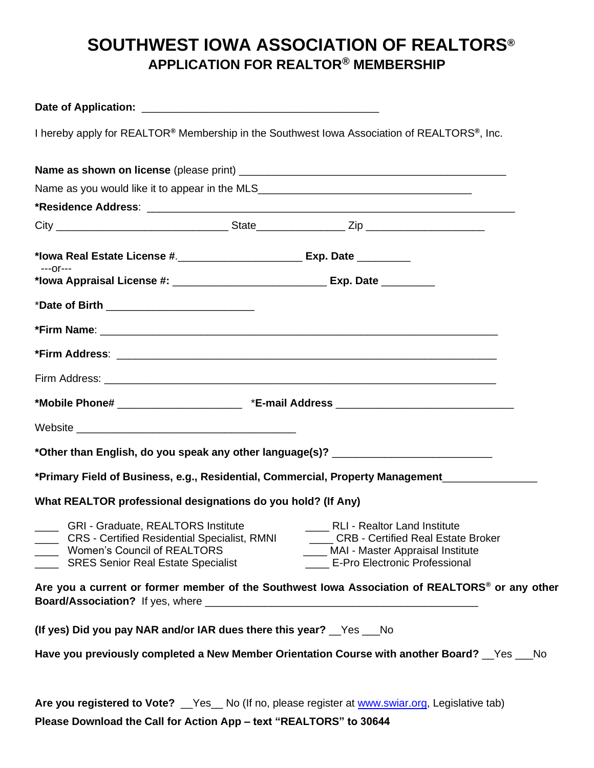## **SOUTHWEST IOWA ASSOCIATION OF REALTORS® APPLICATION FOR REALTOR® MEMBERSHIP**

| I hereby apply for REALTOR® Membership in the Southwest Iowa Association of REALTORS®, Inc.                                                                                         |                                                                                                                                                           |
|-------------------------------------------------------------------------------------------------------------------------------------------------------------------------------------|-----------------------------------------------------------------------------------------------------------------------------------------------------------|
|                                                                                                                                                                                     |                                                                                                                                                           |
| Name as you would like it to appear in the MLS__________________________________                                                                                                    |                                                                                                                                                           |
|                                                                                                                                                                                     |                                                                                                                                                           |
|                                                                                                                                                                                     |                                                                                                                                                           |
|                                                                                                                                                                                     |                                                                                                                                                           |
| $---Or---$<br>*lowa Appraisal License #: __________________________________ Exp. Date _________                                                                                     |                                                                                                                                                           |
| *Date of Birth ______________________________                                                                                                                                       |                                                                                                                                                           |
|                                                                                                                                                                                     |                                                                                                                                                           |
|                                                                                                                                                                                     |                                                                                                                                                           |
|                                                                                                                                                                                     |                                                                                                                                                           |
|                                                                                                                                                                                     |                                                                                                                                                           |
|                                                                                                                                                                                     |                                                                                                                                                           |
| *Other than English, do you speak any other language(s)? _______________________                                                                                                    |                                                                                                                                                           |
| *Primary Field of Business, e.g., Residential, Commercial, Property Management                                                                                                      |                                                                                                                                                           |
| What REALTOR professional designations do you hold? (If Any)                                                                                                                        |                                                                                                                                                           |
| <b>GRI - Graduate, REALTORS Institute</b><br><b>CRS</b> - Certified Residential Specialist, RMNI<br><b>Women's Council of REALTORS</b><br><b>SRES Senior Real Estate Specialist</b> | <b>RLI - Realtor Land Institute</b><br>CRB - Certified Real Estate Broker<br>___ MAI - Master Appraisal Institute<br><b>E-Pro Electronic Professional</b> |
| Are you a current or former member of the Southwest Iowa Association of REALTORS <sup>®</sup> or any other                                                                          |                                                                                                                                                           |
| (If yes) Did you pay NAR and/or IAR dues there this year? Yes ___ No                                                                                                                |                                                                                                                                                           |
| Have you previously completed a New Member Orientation Course with another Board? Figs Theody                                                                                       |                                                                                                                                                           |
| Are you registered to Vote? __Yes__ No (If no, please register at www.swiar.org, Legislative tab)<br><b>Please Download the Call for Action Apply to the EAI TODR" to 20044</b>     |                                                                                                                                                           |

**Please Download the Call for Action App – text "REALTORS" to 30644**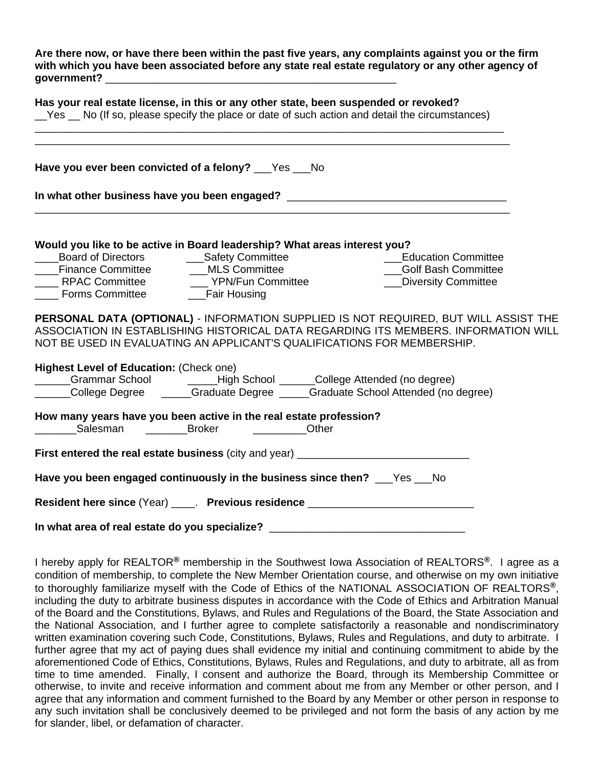**Are there now, or have there been within the past five years, any complaints against you or the firm with which you have been associated before any state real estate regulatory or any other agency of government?** \_\_\_\_\_\_\_\_\_\_\_\_\_\_\_\_\_\_\_\_\_\_\_\_\_\_\_\_\_\_\_\_\_\_\_\_\_\_\_\_\_\_\_\_\_\_\_\_\_

|                                                                                                      |                                                                                                                             | Has your real estate license, in this or any other state, been suspended or revoked?<br>Set Set Section 2015 and detail the set of such action and detail the circumstances)                                                                           |  |  |  |  |  |  |  |  |
|------------------------------------------------------------------------------------------------------|-----------------------------------------------------------------------------------------------------------------------------|--------------------------------------------------------------------------------------------------------------------------------------------------------------------------------------------------------------------------------------------------------|--|--|--|--|--|--|--|--|
| Have you ever been convicted of a felony? __Yes __No                                                 |                                                                                                                             |                                                                                                                                                                                                                                                        |  |  |  |  |  |  |  |  |
|                                                                                                      |                                                                                                                             | In what other business have you been engaged? __________________________________                                                                                                                                                                       |  |  |  |  |  |  |  |  |
| _____Board of Directors _______________Safety Committee<br>___Finance Committee _______MLS Committee | Would you like to be active in Board leadership? What areas interest you?<br>____ RPAC Committee ________ YPN/Fun Committee | <b>Education Committee</b><br>__Golf Bash Committee<br><b>____Diversity Committee</b>                                                                                                                                                                  |  |  |  |  |  |  |  |  |
|                                                                                                      |                                                                                                                             | PERSONAL DATA (OPTIONAL) - INFORMATION SUPPLIED IS NOT REQUIRED, BUT WILL ASSIST THE<br>ASSOCIATION IN ESTABLISHING HISTORICAL DATA REGARDING ITS MEMBERS. INFORMATION WILL<br>NOT BE USED IN EVALUATING AN APPLICANT'S QUALIFICATIONS FOR MEMBERSHIP. |  |  |  |  |  |  |  |  |
| Highest Level of Education: (Check one)                                                              |                                                                                                                             | ______Grammar School _________High School _______College Attended (no degree)<br>College Degree _____Graduate Degree ____Graduate School Attended (no degree)                                                                                          |  |  |  |  |  |  |  |  |
|                                                                                                      | How many years have you been active in the real estate profession?<br>Salesman Broker Manuel Cther                          |                                                                                                                                                                                                                                                        |  |  |  |  |  |  |  |  |
|                                                                                                      |                                                                                                                             | First entered the real estate business (city and year) _________________________                                                                                                                                                                       |  |  |  |  |  |  |  |  |
|                                                                                                      | Have you been engaged continuously in the business since then? __Yes __No                                                   |                                                                                                                                                                                                                                                        |  |  |  |  |  |  |  |  |
|                                                                                                      |                                                                                                                             | Resident here since (Year) _____. Previous residence ___________________________                                                                                                                                                                       |  |  |  |  |  |  |  |  |
|                                                                                                      |                                                                                                                             | In what area of real estate do you specialize? _________________________________                                                                                                                                                                       |  |  |  |  |  |  |  |  |

I hereby apply for REALTOR**®** membership in the Southwest Iowa Association of REALTORS**®**. I agree as a condition of membership, to complete the New Member Orientation course, and otherwise on my own initiative to thoroughly familiarize myself with the Code of Ethics of the NATIONAL ASSOCIATION OF REALTORS**®**, including the duty to arbitrate business disputes in accordance with the Code of Ethics and Arbitration Manual of the Board and the Constitutions, Bylaws, and Rules and Regulations of the Board, the State Association and the National Association, and I further agree to complete satisfactorily a reasonable and nondiscriminatory written examination covering such Code, Constitutions, Bylaws, Rules and Regulations, and duty to arbitrate. I further agree that my act of paying dues shall evidence my initial and continuing commitment to abide by the aforementioned Code of Ethics, Constitutions, Bylaws, Rules and Regulations, and duty to arbitrate, all as from time to time amended. Finally, I consent and authorize the Board, through its Membership Committee or otherwise, to invite and receive information and comment about me from any Member or other person, and I agree that any information and comment furnished to the Board by any Member or other person in response to any such invitation shall be conclusively deemed to be privileged and not form the basis of any action by me for slander, libel, or defamation of character.